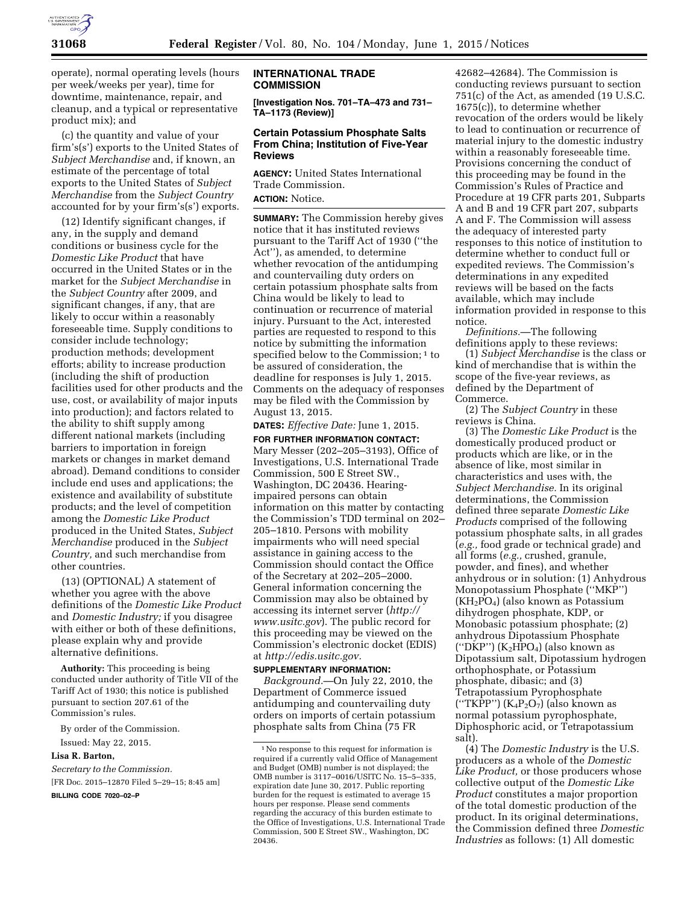

operate), normal operating levels (hours per week/weeks per year), time for downtime, maintenance, repair, and cleanup, and a typical or representative product mix); and

(c) the quantity and value of your firm's(s') exports to the United States of *Subject Merchandise* and, if known, an estimate of the percentage of total exports to the United States of *Subject Merchandise* from the *Subject Country*  accounted for by your firm's(s') exports.

(12) Identify significant changes, if any, in the supply and demand conditions or business cycle for the *Domestic Like Product* that have occurred in the United States or in the market for the *Subject Merchandise* in the *Subject Country* after 2009, and significant changes, if any, that are likely to occur within a reasonably foreseeable time. Supply conditions to consider include technology; production methods; development efforts; ability to increase production (including the shift of production facilities used for other products and the use, cost, or availability of major inputs into production); and factors related to the ability to shift supply among different national markets (including barriers to importation in foreign markets or changes in market demand abroad). Demand conditions to consider include end uses and applications; the existence and availability of substitute products; and the level of competition among the *Domestic Like Product*  produced in the United States, *Subject Merchandise* produced in the *Subject Country,* and such merchandise from other countries.

(13) (OPTIONAL) A statement of whether you agree with the above definitions of the *Domestic Like Product*  and *Domestic Industry;* if you disagree with either or both of these definitions, please explain why and provide alternative definitions.

**Authority:** This proceeding is being conducted under authority of Title VII of the Tariff Act of 1930; this notice is published pursuant to section 207.61 of the Commission's rules.

By order of the Commission. Issued: May 22, 2015.

## **Lisa R. Barton,**

*Secretary to the Commission.*  [FR Doc. 2015–12870 Filed 5–29–15; 8:45 am] **BILLING CODE 7020–02–P** 

**INTERNATIONAL TRADE COMMISSION** 

**[Investigation Nos. 701–TA–473 and 731– TA–1173 (Review)]** 

## **Certain Potassium Phosphate Salts From China; Institution of Five-Year Reviews**

**AGENCY:** United States International Trade Commission. **ACTION:** Notice.

**SUMMARY:** The Commission hereby gives notice that it has instituted reviews pursuant to the Tariff Act of 1930 (''the Act''), as amended, to determine whether revocation of the antidumping and countervailing duty orders on certain potassium phosphate salts from China would be likely to lead to continuation or recurrence of material injury. Pursuant to the Act, interested parties are requested to respond to this notice by submitting the information specified below to the Commission;<sup>1</sup> to be assured of consideration, the deadline for responses is July 1, 2015. Comments on the adequacy of responses may be filed with the Commission by August 13, 2015.

**DATES:** *Effective Date:* June 1, 2015.

**FOR FURTHER INFORMATION CONTACT:**  Mary Messer (202–205–3193), Office of Investigations, U.S. International Trade Commission, 500 E Street SW., Washington, DC 20436. Hearingimpaired persons can obtain information on this matter by contacting the Commission's TDD terminal on 202– 205–1810. Persons with mobility impairments who will need special assistance in gaining access to the Commission should contact the Office of the Secretary at 202–205–2000. General information concerning the Commission may also be obtained by accessing its internet server (*[http://](http://www.usitc.gov) [www.usitc.gov](http://www.usitc.gov)*). The public record for this proceeding may be viewed on the Commission's electronic docket (EDIS) at *[http://edis.usitc.gov.](http://edis.usitc.gov)* 

## **SUPPLEMENTARY INFORMATION:**

*Background.*—On July 22, 2010, the Department of Commerce issued antidumping and countervailing duty orders on imports of certain potassium phosphate salts from China (75 FR

42682–42684). The Commission is conducting reviews pursuant to section 751(c) of the Act, as amended (19 U.S.C. 1675(c)), to determine whether revocation of the orders would be likely to lead to continuation or recurrence of material injury to the domestic industry within a reasonably foreseeable time. Provisions concerning the conduct of this proceeding may be found in the Commission's Rules of Practice and Procedure at 19 CFR parts 201, Subparts A and B and 19 CFR part 207, subparts A and F. The Commission will assess the adequacy of interested party responses to this notice of institution to determine whether to conduct full or expedited reviews. The Commission's determinations in any expedited reviews will be based on the facts available, which may include information provided in response to this notice.

*Definitions.*—The following definitions apply to these reviews:

(1) *Subject Merchandise* is the class or kind of merchandise that is within the scope of the five-year reviews, as defined by the Department of Commerce.

(2) The *Subject Country* in these reviews is China.

(3) The *Domestic Like Product* is the domestically produced product or products which are like, or in the absence of like, most similar in characteristics and uses with, the *Subject Merchandise.* In its original determinations, the Commission defined three separate *Domestic Like Products* comprised of the following potassium phosphate salts, in all grades (*e.g.,* food grade or technical grade) and all forms (*e.g.,* crushed, granule, powder, and fines), and whether anhydrous or in solution: (1) Anhydrous Monopotassium Phosphate (''MKP'')  $(KH<sub>2</sub>PO<sub>4</sub>)$  (also known as Potassium dihydrogen phosphate, KDP, or Monobasic potassium phosphate; (2) anhydrous Dipotassium Phosphate ("DKP")  $(K_2HPO_4)$  (also known as Dipotassium salt, Dipotassium hydrogen orthophosphate, or Potassium phosphate, dibasic; and (3) Tetrapotassium Pyrophosphate ("TKPP")  $(K_4P_2O_7)$  (also known as normal potassium pyrophosphate, Diphosphoric acid, or Tetrapotassium salt).

(4) The *Domestic Industry* is the U.S. producers as a whole of the *Domestic Like Product,* or those producers whose collective output of the *Domestic Like Product* constitutes a major proportion of the total domestic production of the product. In its original determinations, the Commission defined three *Domestic Industries* as follows: (1) All domestic

<sup>1</sup>No response to this request for information is required if a currently valid Office of Management and Budget (OMB) number is not displayed; the OMB number is 3117–0016/USITC No. 15–5–335, expiration date June 30, 2017. Public reporting burden for the request is estimated to average 15 hours per response. Please send comments regarding the accuracy of this burden estimate to the Office of Investigations, U.S. International Trade Commission, 500 E Street SW., Washington, DC 20436.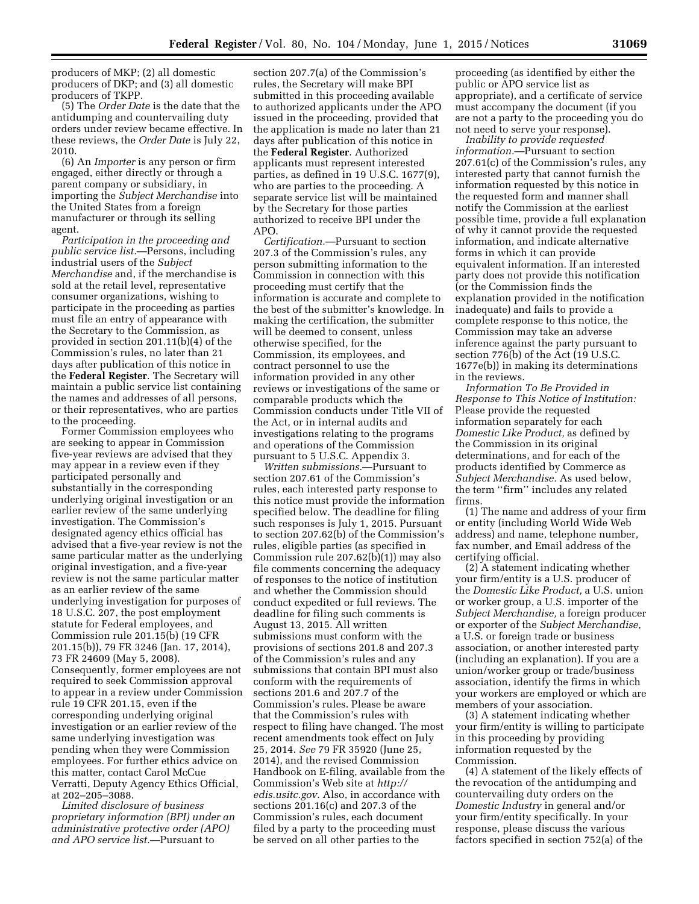producers of MKP; (2) all domestic producers of DKP; and (3) all domestic producers of TKPP.

(5) The *Order Date* is the date that the antidumping and countervailing duty orders under review became effective. In these reviews, the *Order Date* is July 22, 2010.

(6) An *Importer* is any person or firm engaged, either directly or through a parent company or subsidiary, in importing the *Subject Merchandise* into the United States from a foreign manufacturer or through its selling agent.

*Participation in the proceeding and public service list.*—Persons, including industrial users of the *Subject Merchandise* and, if the merchandise is sold at the retail level, representative consumer organizations, wishing to participate in the proceeding as parties must file an entry of appearance with the Secretary to the Commission, as provided in section 201.11(b)(4) of the Commission's rules, no later than 21 days after publication of this notice in the **Federal Register**. The Secretary will maintain a public service list containing the names and addresses of all persons, or their representatives, who are parties to the proceeding.

Former Commission employees who are seeking to appear in Commission five-year reviews are advised that they may appear in a review even if they participated personally and substantially in the corresponding underlying original investigation or an earlier review of the same underlying investigation. The Commission's designated agency ethics official has advised that a five-year review is not the same particular matter as the underlying original investigation, and a five-year review is not the same particular matter as an earlier review of the same underlying investigation for purposes of 18 U.S.C. 207, the post employment statute for Federal employees, and Commission rule 201.15(b) (19 CFR 201.15(b)), 79 FR 3246 (Jan. 17, 2014), 73 FR 24609 (May 5, 2008). Consequently, former employees are not required to seek Commission approval to appear in a review under Commission rule 19 CFR 201.15, even if the corresponding underlying original investigation or an earlier review of the same underlying investigation was pending when they were Commission employees. For further ethics advice on this matter, contact Carol McCue Verratti, Deputy Agency Ethics Official, at 202–205–3088.

*Limited disclosure of business proprietary information (BPI) under an administrative protective order (APO) and APO service list.*—Pursuant to

section 207.7(a) of the Commission's rules, the Secretary will make BPI submitted in this proceeding available to authorized applicants under the APO issued in the proceeding, provided that the application is made no later than 21 days after publication of this notice in the **Federal Register**. Authorized applicants must represent interested parties, as defined in 19 U.S.C. 1677(9), who are parties to the proceeding. A separate service list will be maintained by the Secretary for those parties authorized to receive BPI under the APO.

*Certification.*—Pursuant to section 207.3 of the Commission's rules, any person submitting information to the Commission in connection with this proceeding must certify that the information is accurate and complete to the best of the submitter's knowledge. In making the certification, the submitter will be deemed to consent, unless otherwise specified, for the Commission, its employees, and contract personnel to use the information provided in any other reviews or investigations of the same or comparable products which the Commission conducts under Title VII of the Act, or in internal audits and investigations relating to the programs and operations of the Commission pursuant to 5 U.S.C. Appendix 3.

*Written submissions.*—Pursuant to section 207.61 of the Commission's rules, each interested party response to this notice must provide the information specified below. The deadline for filing such responses is July 1, 2015. Pursuant to section 207.62(b) of the Commission's rules, eligible parties (as specified in Commission rule 207.62(b)(1)) may also file comments concerning the adequacy of responses to the notice of institution and whether the Commission should conduct expedited or full reviews. The deadline for filing such comments is August 13, 2015. All written submissions must conform with the provisions of sections 201.8 and 207.3 of the Commission's rules and any submissions that contain BPI must also conform with the requirements of sections 201.6 and 207.7 of the Commission's rules. Please be aware that the Commission's rules with respect to filing have changed. The most recent amendments took effect on July 25, 2014. *See* 79 FR 35920 (June 25, 2014), and the revised Commission Handbook on E-filing, available from the Commission's Web site at *[http://](http://edis.usitc.gov) [edis.usitc.gov.](http://edis.usitc.gov)* Also, in accordance with sections 201.16(c) and 207.3 of the Commission's rules, each document filed by a party to the proceeding must be served on all other parties to the

proceeding (as identified by either the public or APO service list as appropriate), and a certificate of service must accompany the document (if you are not a party to the proceeding you do not need to serve your response).

*Inability to provide requested information.*—Pursuant to section 207.61(c) of the Commission's rules, any interested party that cannot furnish the information requested by this notice in the requested form and manner shall notify the Commission at the earliest possible time, provide a full explanation of why it cannot provide the requested information, and indicate alternative forms in which it can provide equivalent information. If an interested party does not provide this notification (or the Commission finds the explanation provided in the notification inadequate) and fails to provide a complete response to this notice, the Commission may take an adverse inference against the party pursuant to section 776(b) of the Act (19 U.S.C. 1677e(b)) in making its determinations in the reviews.

*Information To Be Provided in Response to This Notice of Institution:*  Please provide the requested information separately for each *Domestic Like Product,* as defined by the Commission in its original determinations, and for each of the products identified by Commerce as *Subject Merchandise.* As used below, the term ''firm'' includes any related firms.

(1) The name and address of your firm or entity (including World Wide Web address) and name, telephone number, fax number, and Email address of the certifying official.

(2) A statement indicating whether your firm/entity is a U.S. producer of the *Domestic Like Product,* a U.S. union or worker group, a U.S. importer of the *Subject Merchandise,* a foreign producer or exporter of the *Subject Merchandise,*  a U.S. or foreign trade or business association, or another interested party (including an explanation). If you are a union/worker group or trade/business association, identify the firms in which your workers are employed or which are members of your association.

(3) A statement indicating whether your firm/entity is willing to participate in this proceeding by providing information requested by the Commission.

(4) A statement of the likely effects of the revocation of the antidumping and countervailing duty orders on the *Domestic Industry* in general and/or your firm/entity specifically. In your response, please discuss the various factors specified in section 752(a) of the